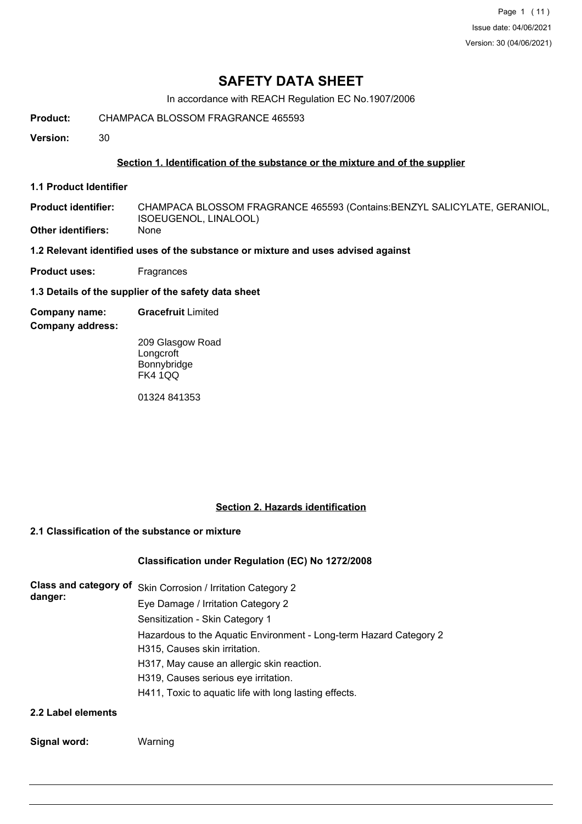Page 1 (11) Issue date: 04/06/2021 Version: 30 (04/06/2021)

## **SAFETY DATA SHEET**

In accordance with REACH Regulation EC No.1907/2006

**Product:** CHAMPACA BLOSSOM FRAGRANCE 465593

**Version:** 30

### **Section 1. Identification of the substance or the mixture and of the supplier**

**1.1 Product Identifier**

CHAMPACA BLOSSOM FRAGRANCE 465593 (Contains:BENZYL SALICYLATE, GERANIOL, ISOEUGENOL, LINALOOL) **Product identifier: Other identifiers:** None

**1.2 Relevant identified uses of the substance or mixture and uses advised against**

**Product uses:** Fragrances

**1.3 Details of the supplier of the safety data sheet**

**Company name: Gracefruit** Limited

**Company address:**

209 Glasgow Road **Longcroft** Bonnybridge FK4 1QQ

01324 841353

### **Section 2. Hazards identification**

### **2.1 Classification of the substance or mixture**

### **Classification under Regulation (EC) No 1272/2008**

| Class and category of | Skin Corrosion / Irritation Category 2                             |  |  |  |  |
|-----------------------|--------------------------------------------------------------------|--|--|--|--|
| danger:               | Eye Damage / Irritation Category 2                                 |  |  |  |  |
|                       | Sensitization - Skin Category 1                                    |  |  |  |  |
|                       | Hazardous to the Aquatic Environment - Long-term Hazard Category 2 |  |  |  |  |
|                       | H315, Causes skin irritation.                                      |  |  |  |  |
|                       | H317, May cause an allergic skin reaction.                         |  |  |  |  |
|                       | H319, Causes serious eye irritation.                               |  |  |  |  |
|                       | H411, Toxic to aquatic life with long lasting effects.             |  |  |  |  |
| 2.2 Label elements    |                                                                    |  |  |  |  |

#### **Signal word:** Warning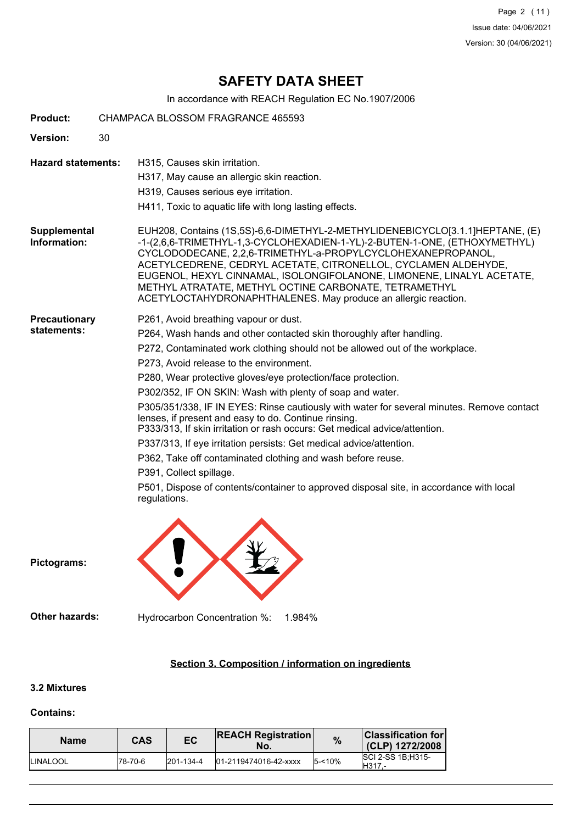Page 2 (11) Issue date: 04/06/2021 Version: 30 (04/06/2021)

# **SAFETY DATA SHEET**

In accordance with REACH Regulation EC No.1907/2006

| <b>Product:</b>                     |    | CHAMPACA BLOSSOM FRAGRANCE 465593                                                                                                                                                                                                                                                                                                                                                                                                                                                               |  |  |  |  |
|-------------------------------------|----|-------------------------------------------------------------------------------------------------------------------------------------------------------------------------------------------------------------------------------------------------------------------------------------------------------------------------------------------------------------------------------------------------------------------------------------------------------------------------------------------------|--|--|--|--|
| <b>Version:</b>                     | 30 |                                                                                                                                                                                                                                                                                                                                                                                                                                                                                                 |  |  |  |  |
| <b>Hazard statements:</b>           |    | H315, Causes skin irritation.                                                                                                                                                                                                                                                                                                                                                                                                                                                                   |  |  |  |  |
|                                     |    | H317, May cause an allergic skin reaction.                                                                                                                                                                                                                                                                                                                                                                                                                                                      |  |  |  |  |
|                                     |    | H319, Causes serious eye irritation.                                                                                                                                                                                                                                                                                                                                                                                                                                                            |  |  |  |  |
|                                     |    | H411, Toxic to aquatic life with long lasting effects.                                                                                                                                                                                                                                                                                                                                                                                                                                          |  |  |  |  |
| <b>Supplemental</b><br>Information: |    | EUH208, Contains (1S,5S)-6,6-DIMETHYL-2-METHYLIDENEBICYCLO[3.1.1]HEPTANE, (E)<br>-1-(2,6,6-TRIMETHYL-1,3-CYCLOHEXADIEN-1-YL)-2-BUTEN-1-ONE, (ETHOXYMETHYL)<br>CYCLODODECANE, 2,2,6-TRIMETHYL-a-PROPYLCYCLOHEXANEPROPANOL,<br>ACETYLCEDRENE, CEDRYL ACETATE, CITRONELLOL, CYCLAMEN ALDEHYDE,<br>EUGENOL, HEXYL CINNAMAL, ISOLONGIFOLANONE, LIMONENE, LINALYL ACETATE,<br>METHYL ATRATATE, METHYL OCTINE CARBONATE, TETRAMETHYL<br>ACETYLOCTAHYDRONAPHTHALENES. May produce an allergic reaction. |  |  |  |  |
| <b>Precautionary</b>                |    | P261, Avoid breathing vapour or dust.                                                                                                                                                                                                                                                                                                                                                                                                                                                           |  |  |  |  |
| statements:                         |    | P264, Wash hands and other contacted skin thoroughly after handling.                                                                                                                                                                                                                                                                                                                                                                                                                            |  |  |  |  |
|                                     |    | P272, Contaminated work clothing should not be allowed out of the workplace.                                                                                                                                                                                                                                                                                                                                                                                                                    |  |  |  |  |
|                                     |    | P273, Avoid release to the environment.                                                                                                                                                                                                                                                                                                                                                                                                                                                         |  |  |  |  |
|                                     |    | P280, Wear protective gloves/eye protection/face protection.                                                                                                                                                                                                                                                                                                                                                                                                                                    |  |  |  |  |
|                                     |    | P302/352, IF ON SKIN: Wash with plenty of soap and water.                                                                                                                                                                                                                                                                                                                                                                                                                                       |  |  |  |  |
|                                     |    | P305/351/338, IF IN EYES: Rinse cautiously with water for several minutes. Remove contact<br>lenses, if present and easy to do. Continue rinsing.<br>P333/313, If skin irritation or rash occurs: Get medical advice/attention.                                                                                                                                                                                                                                                                 |  |  |  |  |
|                                     |    | P337/313, If eye irritation persists: Get medical advice/attention.                                                                                                                                                                                                                                                                                                                                                                                                                             |  |  |  |  |
|                                     |    | P362, Take off contaminated clothing and wash before reuse.                                                                                                                                                                                                                                                                                                                                                                                                                                     |  |  |  |  |
|                                     |    | P391, Collect spillage.                                                                                                                                                                                                                                                                                                                                                                                                                                                                         |  |  |  |  |
|                                     |    | P501, Dispose of contents/container to approved disposal site, in accordance with local<br>regulations.                                                                                                                                                                                                                                                                                                                                                                                         |  |  |  |  |
| Pictograms:                         |    |                                                                                                                                                                                                                                                                                                                                                                                                                                                                                                 |  |  |  |  |
| <b>Other hazards:</b>               |    | Hydrocarbon Concentration %:<br>1.984%                                                                                                                                                                                                                                                                                                                                                                                                                                                          |  |  |  |  |
|                                     |    |                                                                                                                                                                                                                                                                                                                                                                                                                                                                                                 |  |  |  |  |

## **Section 3. Composition / information on ingredients**

## **3.2 Mixtures**

#### **Contains:**

| <b>Name</b>      | CAS      | EC              | <b>REACH Registration</b><br>No. | $\%$      | <b>Classification for</b><br>(CLP) 1272/2008    |
|------------------|----------|-----------------|----------------------------------|-----------|-------------------------------------------------|
| <b>ILINALOOL</b> | 178-70-6 | $201 - 134 - 4$ | 01-2119474016-42-xxxx            | $5 - 10%$ | <b>SCI 2-SS 1B:H315-</b><br><sup>1</sup> H317.- |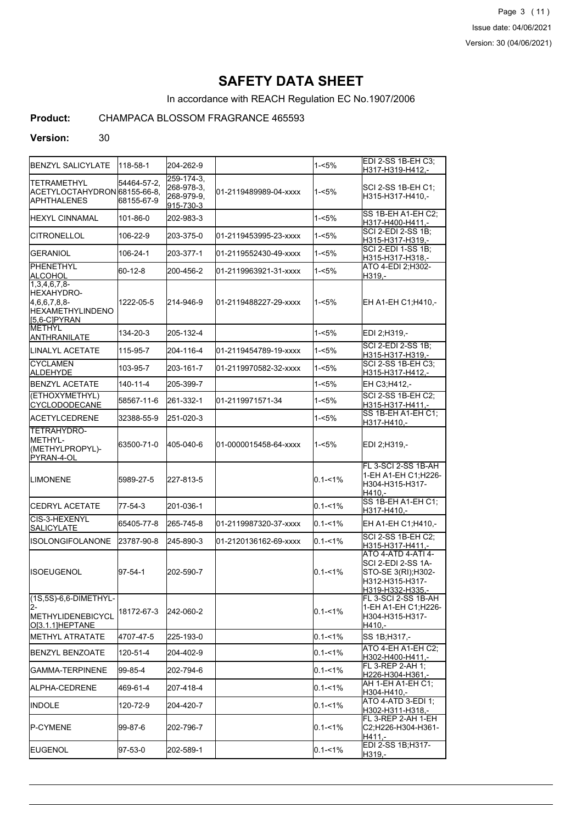Page 3 (11) Issue date: 04/06/2021 Version: 30 (04/06/2021)

# **SAFETY DATA SHEET**

In accordance with REACH Regulation EC No.1907/2006

## **Product:** CHAMPACA BLOSSOM FRAGRANCE 465593

#### **Version:** 30

| BENZYL SALICYLATE                                                                                | 118-58-1                  | 204-262-9                                                  |                       | 1-<5%       | EDI 2-SS 1B-EH C3:<br>H317-H319-H412,-                                                                        |
|--------------------------------------------------------------------------------------------------|---------------------------|------------------------------------------------------------|-----------------------|-------------|---------------------------------------------------------------------------------------------------------------|
| <b>TETRAMETHYL</b><br> ACETYLOCTAHYDRON 68155-66-8.<br>APHTHALENES                               | 54464-57-2,<br>68155-67-9 | $259 - 174 - 3$ ,<br>268-978-3.<br>268-979-9,<br>915-730-3 | 01-2119489989-04-xxxx | 1-<5%       | SCI 2-SS 1B-EH C1:<br>H315-H317-H410,-                                                                        |
| HEXYL CINNAMAL                                                                                   | 101-86-0                  | 202-983-3                                                  |                       | 1-<5%       | SS 1B-EH A1-EH C2:<br>H317-H400-H411,-                                                                        |
| <b>CITRONELLOL</b>                                                                               | 106-22-9                  | 203-375-0                                                  | 01-2119453995-23-xxxx | 1-<5%       | SCI 2-EDI 2-SS 1B;<br>H315-H317-H319,-                                                                        |
| <b>GERANIOL</b>                                                                                  | 106-24-1                  | 203-377-1                                                  | 01-2119552430-49-xxxx | 1-<5%       | SCI 2-EDI 1-SS 1B;<br>H315-H317-H318,-                                                                        |
| PHENETHYL<br>ALCOHOL                                                                             | 60-12-8                   | 200-456-2                                                  | 01-2119963921-31-xxxx | 1-<5%       | ATO 4-EDI 2; H302-<br>H319,-                                                                                  |
| 1,3,4,6,7,8-<br><b>IHEXAHYDRO-</b><br>4,6,6,7,8,8-<br><b>HEXAMETHYLINDENO</b><br>$[5,6-C]$ PYRAN | 1222-05-5                 | 214-946-9                                                  | 01-2119488227-29-xxxx | $1 - 5%$    | EH A1-EH C1; H410,-                                                                                           |
| IMETHYL<br>ANTHRANILATE                                                                          | 134-20-3                  | 205-132-4                                                  |                       | 1-<5%       | EDI 2;H319,-                                                                                                  |
| ILINALYL ACETATE                                                                                 | 115-95-7                  | 204-116-4                                                  | 01-2119454789-19-xxxx | $1 - 5%$    | <b>SCI 2-EDI 2-SS 1B;</b><br>H315-H317-H319.-                                                                 |
| <b>ICYCLAMEN</b><br>ALDEHYDE                                                                     | 103-95-7                  | 203-161-7                                                  | 01-2119970582-32-xxxx | 1-<5%       | <b>SCI 2-SS 1B-EH C3:</b><br>H315-H317-H412,-                                                                 |
| <b>BENZYL ACETATE</b>                                                                            | $140 - 11 - 4$            | 205-399-7                                                  |                       | $1 - 5%$    | EH C3:H412,-                                                                                                  |
| (ETHOXYMETHYL)<br><b>CYCLODODECANE</b>                                                           | 58567-11-6                | 261-332-1                                                  | 01-2119971571-34      | 1-<5%       | SCI 2-SS 1B-EH C2;<br>H315-H317-H411.-                                                                        |
| ACETYLCEDRENE                                                                                    | 32388-55-9                | 251-020-3                                                  |                       | 1-<5%       | SS 1B-EH A1-EH C1:<br>H317-H410,-                                                                             |
| TETRAHYDRO-<br><b>IMETHYL-</b><br>(METHYLPROPYL)-<br>PYRAN-4-OL                                  | 63500-71-0                | 405-040-6                                                  | 01-0000015458-64-xxxx | 1-<5%       | EDI 2;H319,-                                                                                                  |
| <b>LIMONENE</b>                                                                                  | 5989-27-5                 | 227-813-5                                                  |                       | $0.1 - 1\%$ | FL 3-SCI 2-SS 1B-AH<br>1-EH A1-EH C1;H226-<br>H304-H315-H317-<br>H410.-                                       |
| <b>CEDRYL ACETATE</b>                                                                            | 77-54-3                   | 201-036-1                                                  |                       | $0.1 - 1\%$ | SS 1B-EH A1-EH C1;<br>H317-H410,-                                                                             |
| ICIS-3-HEXENYL<br><b>SALICYLATE</b>                                                              | 65405-77-8                | 265-745-8                                                  | 01-2119987320-37-xxxx | $0.1 - 1\%$ | EH A1-EH C1;H410,-                                                                                            |
| IISOLONGIFOLANONE                                                                                | 23787-90-8                | 245-890-3                                                  | 01-2120136162-69-xxxx | $0.1 - 1\%$ | <b>SCI 2-SS 1B-EH C2:</b><br>H315-H317-H411.-                                                                 |
| <b>I</b> ISOEUGENOL                                                                              | $97 - 54 - 1$             | 202-590-7                                                  |                       | $0.1 - 1\%$ | ATO 4-ATD 4-ATI 4-<br>SCI 2-EDI 2-SS 1A-<br>STO-SE 3(RI);H302-<br>H312-H315-H317-<br><u> H319-H332-H335,-</u> |
| (1S,5S)-6,6-DIMETHYL-<br>I2-<br><b>I</b> METHYLIDENEBICYCL<br>O[3.1.1]HEPTANE                    | 18172-67-3                | 242-060-2                                                  |                       | $0.1 - 1\%$ | FL 3-SCI 2-SS 1B-AH<br>1-EH A1-EH C1;H226-<br>IH304-H315-H317-<br>H410.-                                      |
| METHYL ATRATATE                                                                                  | 4707-47-5                 | 225-193-0                                                  |                       | $0.1 - 1%$  | SS 1B; H317,-                                                                                                 |
| <b>BENZYL BENZOATE</b>                                                                           | 120-51-4                  | 204-402-9                                                  |                       | $0.1 - 1\%$ | ATO 4-EH A1-EH C2;<br>H302-H400-H411,-                                                                        |
| GAMMA-TERPINENE                                                                                  | 99-85-4                   | 202-794-6                                                  |                       | $0.1 - 1\%$ | FL 3-REP 2-AH 1;<br>H226-H304-H361.-                                                                          |
| IALPHA-CEDRENE                                                                                   | 469-61-4                  | 207-418-4                                                  |                       | $0.1 - 1\%$ | AH 1-EH A1-EH C1;<br>H304-H410,-                                                                              |
| INDOLE                                                                                           | 120-72-9                  | 204-420-7                                                  |                       | $0.1 - 1\%$ | ATO 4-ATD 3-EDI 1;<br>H302-H311-H318,-                                                                        |
| <b>P-CYMENE</b>                                                                                  | 99-87-6                   | 202-796-7                                                  |                       | $0.1 - 1\%$ | FL 3-REP 2-AH 1-EH<br>C2;H226-H304-H361-<br>H411,-                                                            |
| EUGENOL                                                                                          | 97-53-0                   | 202-589-1                                                  |                       | $0.1 - 1\%$ | EDI 2-SS 1B; H317-<br>H319,-                                                                                  |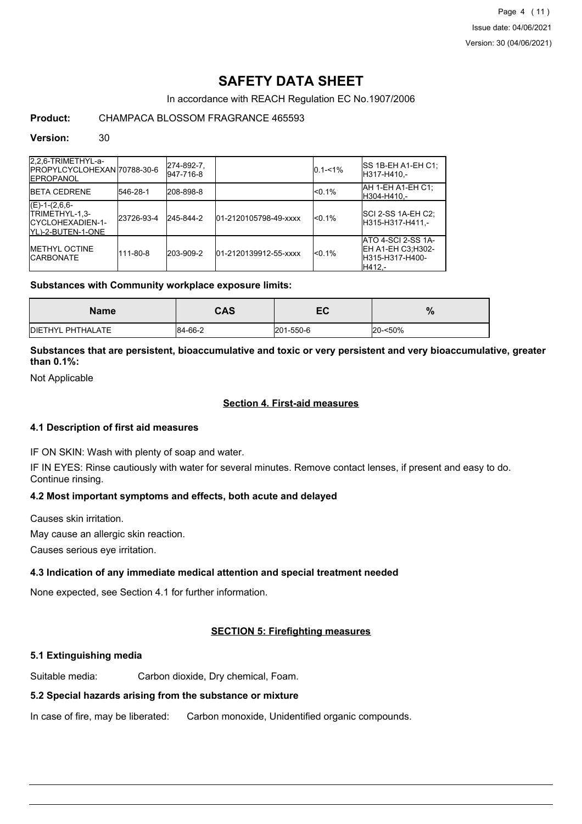Page 4 (11) Issue date: 04/06/2021 Version: 30 (04/06/2021)

# **SAFETY DATA SHEET**

#### In accordance with REACH Regulation EC No.1907/2006

### **Product:** CHAMPACA BLOSSOM FRAGRANCE 465593

#### **Version:** 30

| 2,2,6-TRIMETHYL-a-<br>IPROPYLCYCLOHEXANI70788-30-6<br><b>IEPROPANOL</b>       |            | 274-892-7,<br>947-716-8 |                       | $0.1 - 1\%$     | ISS 1B-EH A1-EH C1:<br>H317-H410.-                                           |
|-------------------------------------------------------------------------------|------------|-------------------------|-----------------------|-----------------|------------------------------------------------------------------------------|
| <b>IBETA CEDRENE</b>                                                          | 546-28-1   | 208-898-8               |                       | $< 0.1\%$       | AH 1-EH A1-EH C1;<br>H304-H410.-                                             |
| $(E)-1-(2,6,6-$<br>ITRIMETHYL-1.3-<br>ICYCLOHEXADIEN-1-<br>IYL)-2-BUTEN-1-ONE | 23726-93-4 | 245-844-2               | 01-2120105798-49-xxxx | <sub>0.1%</sub> | SCI 2-SS 1A-EH C2;<br>H315-H317-H411.-                                       |
| <b>IMETHYL OCTINE</b><br><b>ICARBONATE</b>                                    | 111-80-8   | 203-909-2               | 01-2120139912-55-xxxx | <sub>0.1%</sub> | ATO 4-SCI 2-SS 1A-<br><b>IEH A1-EH C3:H302-</b><br>H315-H317-H400-<br>H412.- |

#### **Substances with Community workplace exposure limits:**

| <b>Name</b>               | <b>CAS</b> | -0<br>EV  | %       |
|---------------------------|------------|-----------|---------|
| <b>IDIETHYL PHTHALATE</b> | 84-66-2    | 201-550-6 | 20-<50% |

### **Substances that are persistent, bioaccumulative and toxic or very persistent and very bioaccumulative, greater than 0.1%:**

Not Applicable

#### **Section 4. First-aid measures**

#### **4.1 Description of first aid measures**

IF ON SKIN: Wash with plenty of soap and water.

IF IN EYES: Rinse cautiously with water for several minutes. Remove contact lenses, if present and easy to do. Continue rinsing.

#### **4.2 Most important symptoms and effects, both acute and delayed**

Causes skin irritation.

May cause an allergic skin reaction.

Causes serious eye irritation.

### **4.3 Indication of any immediate medical attention and special treatment needed**

None expected, see Section 4.1 for further information.

#### **SECTION 5: Firefighting measures**

#### **5.1 Extinguishing media**

Suitable media: Carbon dioxide, Dry chemical, Foam.

#### **5.2 Special hazards arising from the substance or mixture**

In case of fire, may be liberated: Carbon monoxide, Unidentified organic compounds.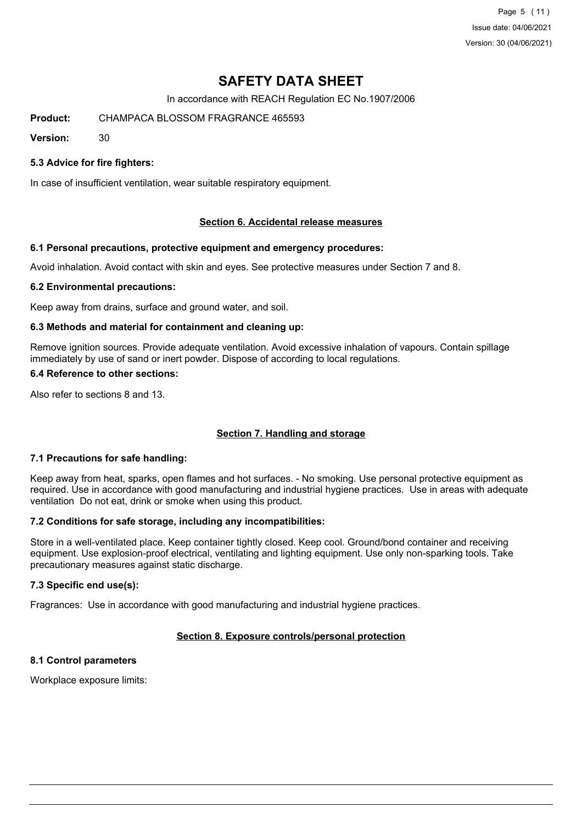Page 5 (11) Issue date: 04/06/2021 Version: 30 (04/06/2021)

# **SAFETY DATA SHEET**

In accordance with REACH Regulation EC No.1907/2006

**Product:** CHAMPACA BLOSSOM FRAGRANCE 465593

**Version:** 30

### **5.3 Advice for fire fighters:**

In case of insufficient ventilation, wear suitable respiratory equipment.

#### **Section 6. Accidental release measures**

#### **6.1 Personal precautions, protective equipment and emergency procedures:**

Avoid inhalation. Avoid contact with skin and eyes. See protective measures under Section 7 and 8.

#### **6.2 Environmental precautions:**

Keep away from drains, surface and ground water, and soil.

#### **6.3 Methods and material for containment and cleaning up:**

Remove ignition sources. Provide adequate ventilation. Avoid excessive inhalation of vapours. Contain spillage immediately by use of sand or inert powder. Dispose of according to local regulations.

#### **6.4 Reference to other sections:**

Also refer to sections 8 and 13.

#### **Section 7. Handling and storage**

#### **7.1 Precautions for safe handling:**

Keep away from heat, sparks, open flames and hot surfaces. - No smoking. Use personal protective equipment as required. Use in accordance with good manufacturing and industrial hygiene practices. Use in areas with adequate ventilation Do not eat, drink or smoke when using this product.

#### **7.2 Conditions for safe storage, including any incompatibilities:**

Store in a well-ventilated place. Keep container tightly closed. Keep cool. Ground/bond container and receiving equipment. Use explosion-proof electrical, ventilating and lighting equipment. Use only non-sparking tools. Take precautionary measures against static discharge.

#### **7.3 Specific end use(s):**

Fragrances: Use in accordance with good manufacturing and industrial hygiene practices.

## **Section 8. Exposure controls/personal protection**

## **8.1 Control parameters**

Workplace exposure limits: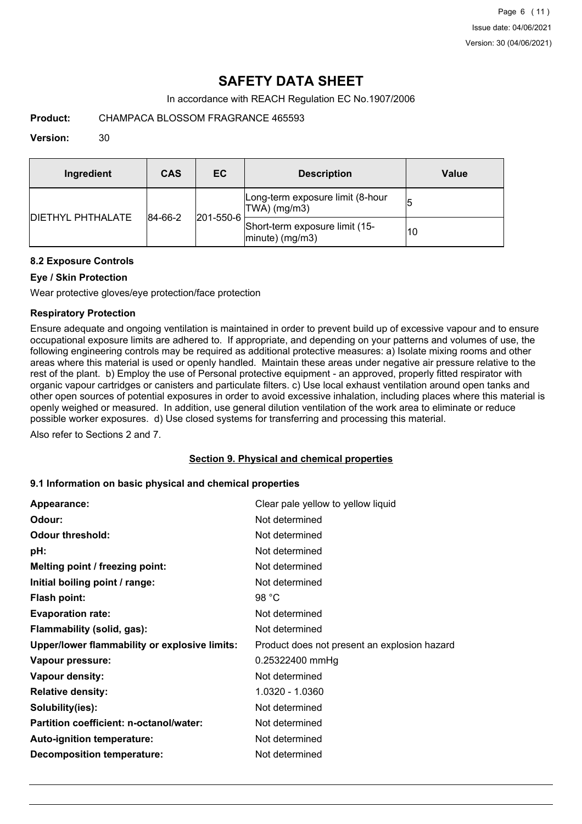# **SAFETY DATA SHEET**

In accordance with REACH Regulation EC No.1907/2006

**Product:** CHAMPACA BLOSSOM FRAGRANCE 465593

#### **Version:** 30

| Ingredient                | CAS                          | <b>EC</b> | <b>Description</b>                                   | <b>Value</b> |
|---------------------------|------------------------------|-----------|------------------------------------------------------|--------------|
| <b>IDIETHYL PHTHALATE</b> | $ 201 - 550 - 6 $<br>84-66-2 |           | Long-term exposure limit (8-hour<br>TWA) (mg/m3)     | 15           |
|                           |                              |           | Short-term exposure limit (15-<br>$ minute)$ (mg/m3) | 10           |

### **8.2 Exposure Controls**

### **Eye / Skin Protection**

Wear protective gloves/eye protection/face protection

### **Respiratory Protection**

Ensure adequate and ongoing ventilation is maintained in order to prevent build up of excessive vapour and to ensure occupational exposure limits are adhered to. If appropriate, and depending on your patterns and volumes of use, the following engineering controls may be required as additional protective measures: a) Isolate mixing rooms and other areas where this material is used or openly handled. Maintain these areas under negative air pressure relative to the rest of the plant. b) Employ the use of Personal protective equipment - an approved, properly fitted respirator with organic vapour cartridges or canisters and particulate filters. c) Use local exhaust ventilation around open tanks and other open sources of potential exposures in order to avoid excessive inhalation, including places where this material is openly weighed or measured. In addition, use general dilution ventilation of the work area to eliminate or reduce possible worker exposures. d) Use closed systems for transferring and processing this material.

Also refer to Sections 2 and 7.

#### **Section 9. Physical and chemical properties**

#### **9.1 Information on basic physical and chemical properties**

| Appearance:                                   | Clear pale yellow to yellow liquid           |
|-----------------------------------------------|----------------------------------------------|
| Odour:                                        | Not determined                               |
| <b>Odour threshold:</b>                       | Not determined                               |
| pH:                                           | Not determined                               |
| Melting point / freezing point:               | Not determined                               |
| Initial boiling point / range:                | Not determined                               |
| <b>Flash point:</b>                           | 98 $°C$                                      |
| <b>Evaporation rate:</b>                      | Not determined                               |
| Flammability (solid, gas):                    | Not determined                               |
| Upper/lower flammability or explosive limits: | Product does not present an explosion hazard |
| Vapour pressure:                              | 0.25322400 mmHg                              |
| Vapour density:                               | Not determined                               |
| <b>Relative density:</b>                      | 1.0320 - 1.0360                              |
| Solubility(ies):                              | Not determined                               |
| Partition coefficient: n-octanol/water:       | Not determined                               |
| Auto-ignition temperature:                    | Not determined                               |
| <b>Decomposition temperature:</b>             | Not determined                               |
|                                               |                                              |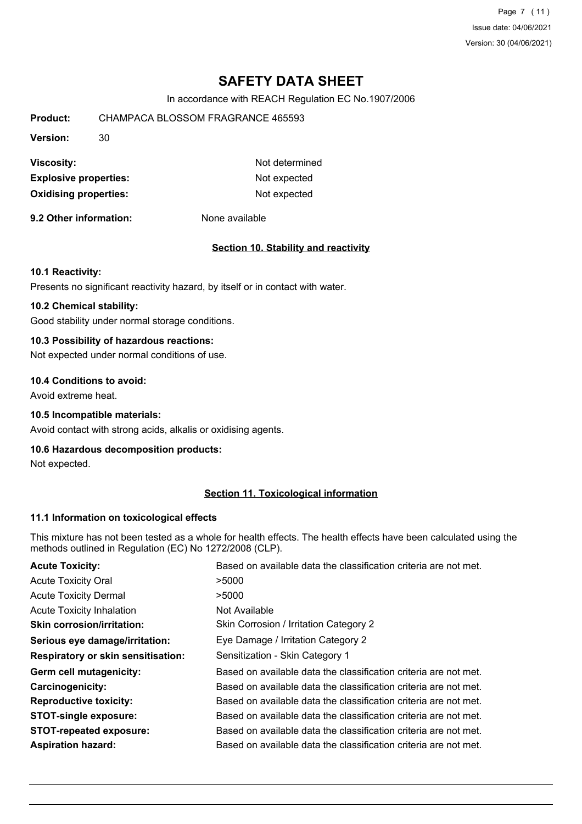Page 7 (11) Issue date: 04/06/2021 Version: 30 (04/06/2021)

# **SAFETY DATA SHEET**

In accordance with REACH Regulation EC No.1907/2006

| Product:                     | CHAMPACA BLOSSOM FRAGRANCE 465593 |                |  |  |  |
|------------------------------|-----------------------------------|----------------|--|--|--|
| <b>Version:</b>              | 30                                |                |  |  |  |
| <b>Viscosity:</b>            |                                   | Not determined |  |  |  |
| <b>Explosive properties:</b> | Not expected                      |                |  |  |  |
| <b>Oxidising properties:</b> |                                   | Not expected   |  |  |  |
|                              |                                   |                |  |  |  |

**9.2 Other information:** None available

### **Section 10. Stability and reactivity**

#### **10.1 Reactivity:**

Presents no significant reactivity hazard, by itself or in contact with water.

### **10.2 Chemical stability:**

Good stability under normal storage conditions.

### **10.3 Possibility of hazardous reactions:**

Not expected under normal conditions of use.

### **10.4 Conditions to avoid:**

Avoid extreme heat.

#### **10.5 Incompatible materials:**

Avoid contact with strong acids, alkalis or oxidising agents.

#### **10.6 Hazardous decomposition products:**

Not expected.

### **Section 11. Toxicological information**

#### **11.1 Information on toxicological effects**

This mixture has not been tested as a whole for health effects. The health effects have been calculated using the methods outlined in Regulation (EC) No 1272/2008 (CLP).

| <b>Acute Toxicity:</b>                    | Based on available data the classification criteria are not met. |
|-------------------------------------------|------------------------------------------------------------------|
| <b>Acute Toxicity Oral</b>                | >5000                                                            |
| <b>Acute Toxicity Dermal</b>              | >5000                                                            |
| <b>Acute Toxicity Inhalation</b>          | Not Available                                                    |
| <b>Skin corrosion/irritation:</b>         | Skin Corrosion / Irritation Category 2                           |
| Serious eye damage/irritation:            | Eye Damage / Irritation Category 2                               |
| <b>Respiratory or skin sensitisation:</b> | Sensitization - Skin Category 1                                  |
| Germ cell mutagenicity:                   | Based on available data the classification criteria are not met. |
| <b>Carcinogenicity:</b>                   | Based on available data the classification criteria are not met. |
| <b>Reproductive toxicity:</b>             | Based on available data the classification criteria are not met. |
| <b>STOT-single exposure:</b>              | Based on available data the classification criteria are not met. |
| <b>STOT-repeated exposure:</b>            | Based on available data the classification criteria are not met. |
| <b>Aspiration hazard:</b>                 | Based on available data the classification criteria are not met. |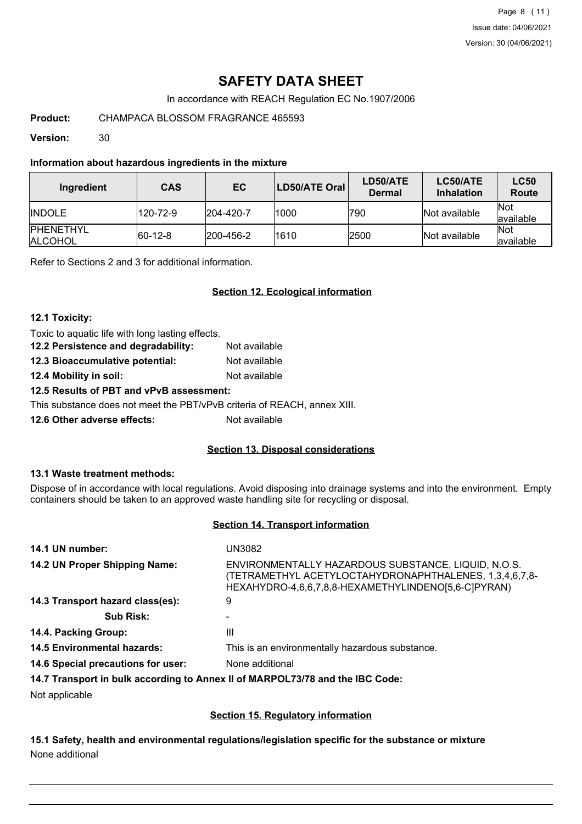Page 8 (11) Issue date: 04/06/2021 Version: 30 (04/06/2021)

# **SAFETY DATA SHEET**

In accordance with REACH Regulation EC No.1907/2006

**Product:** CHAMPACA BLOSSOM FRAGRANCE 465593

**Version:** 30

#### **Information about hazardous ingredients in the mixture**

| Ingredient                          | <b>CAS</b>  | <b>EC</b>         | LD50/ATE Oral | LD50/ATE<br><b>Dermal</b> | LC50/ATE<br><b>Inhalation</b> | <b>LC50</b><br>Route    |
|-------------------------------------|-------------|-------------------|---------------|---------------------------|-------------------------------|-------------------------|
| <b>IINDOLE</b>                      | 120-72-9    | $ 204 - 420 - 7$  | 1000          | 790                       | Not available                 | lNot<br>lavailable      |
| <b>IPHENETHYL</b><br><b>ALCOHOL</b> | $ 60-12-8 $ | $ 200 - 456 - 2 $ | 1610          | 2500                      | Not available                 | <b>Not</b><br>available |

Refer to Sections 2 and 3 for additional information.

#### **Section 12. Ecological information**

#### **12.1 Toxicity:**

Toxic to aquatic life with long lasting effects.

| 12.2 Persistence and degradability:                                      | Not available |  |  |  |  |
|--------------------------------------------------------------------------|---------------|--|--|--|--|
| 12.3 Bioaccumulative potential:                                          | Not available |  |  |  |  |
| <b>12.4 Mobility in soil:</b>                                            | Not available |  |  |  |  |
| 12.5 Results of PBT and vPvB assessment:                                 |               |  |  |  |  |
| This substance does not meet the PBT/vPvB criteria of REACH, annex XIII. |               |  |  |  |  |

**12.6 Other adverse effects:** Not available

#### **Section 13. Disposal considerations**

#### **13.1 Waste treatment methods:**

Dispose of in accordance with local regulations. Avoid disposing into drainage systems and into the environment. Empty containers should be taken to an approved waste handling site for recycling or disposal.

#### **Section 14. Transport information**

| 14.1 UN number:                    | UN3082                                                                                                                                                               |
|------------------------------------|----------------------------------------------------------------------------------------------------------------------------------------------------------------------|
| 14.2 UN Proper Shipping Name:      | ENVIRONMENTALLY HAZARDOUS SUBSTANCE, LIQUID, N.O.S.<br>(TETRAMETHYL ACETYLOCTAHYDRONAPHTHALENES, 1,3,4,6,7,8-<br>HEXAHYDRO-4,6,6,7,8,8-HEXAMETHYLINDENO[5,6-C]PYRAN) |
| 14.3 Transport hazard class(es):   | 9                                                                                                                                                                    |
| <b>Sub Risk:</b>                   |                                                                                                                                                                      |
| 14.4. Packing Group:               | Ш                                                                                                                                                                    |
| <b>14.5 Environmental hazards:</b> | This is an environmentally hazardous substance.                                                                                                                      |
| 14.6 Special precautions for user: | None additional                                                                                                                                                      |
|                                    | 14.7 Transport in bulk according to Annex II of MARPOL73/78 and the IBC Code:                                                                                        |
| Not applicable                     |                                                                                                                                                                      |

#### **Section 15. Regulatory information**

**15.1 Safety, health and environmental regulations/legislation specific for the substance or mixture** None additional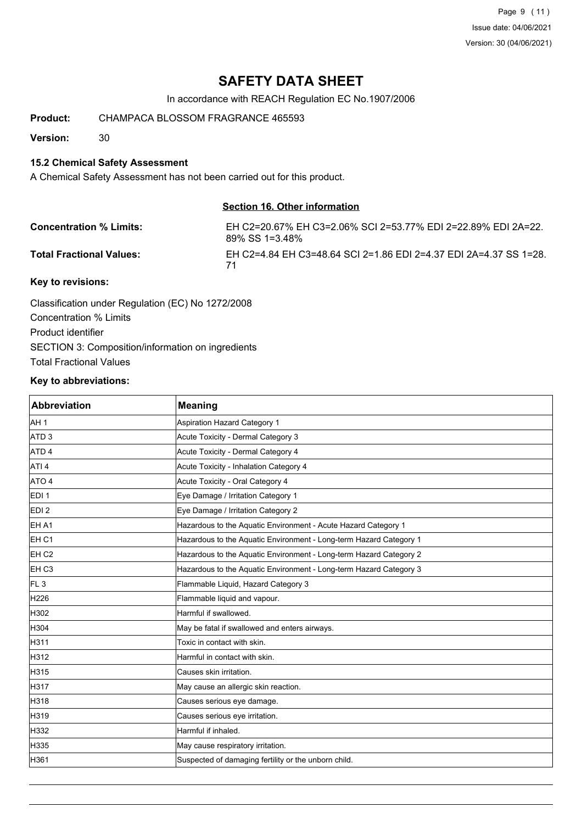Page 9 (11) Issue date: 04/06/2021 Version: 30 (04/06/2021)

# **SAFETY DATA SHEET**

In accordance with REACH Regulation EC No.1907/2006

**Product:** CHAMPACA BLOSSOM FRAGRANCE 465593

**Version:** 30

### **15.2 Chemical Safety Assessment**

A Chemical Safety Assessment has not been carried out for this product.

#### **Section 16. Other information**

| <b>Concentration % Limits:</b>  | EH C2=20.67% EH C3=2.06% SCI 2=53.77% EDI 2=22.89% EDI 2A=22.<br>89% SS 1=3.48% |
|---------------------------------|---------------------------------------------------------------------------------|
| <b>Total Fractional Values:</b> | EH C2=4.84 EH C3=48.64 SCI 2=1.86 EDI 2=4.37 EDI 2A=4.37 SS 1=28.               |
| Key to revisions:               |                                                                                 |

Classification under Regulation (EC) No 1272/2008 Concentration % Limits Product identifier SECTION 3: Composition/information on ingredients Total Fractional Values

### **Key to abbreviations:**

| Abbreviation      | <b>Meaning</b>                                                     |
|-------------------|--------------------------------------------------------------------|
| AH <sub>1</sub>   | <b>Aspiration Hazard Category 1</b>                                |
| ATD <sub>3</sub>  | Acute Toxicity - Dermal Category 3                                 |
| ATD <sub>4</sub>  | Acute Toxicity - Dermal Category 4                                 |
| ATI <sub>4</sub>  | Acute Toxicity - Inhalation Category 4                             |
| ATO 4             | Acute Toxicity - Oral Category 4                                   |
| EDI <sub>1</sub>  | Eye Damage / Irritation Category 1                                 |
| EDI <sub>2</sub>  | Eye Damage / Irritation Category 2                                 |
| EH A1             | Hazardous to the Aquatic Environment - Acute Hazard Category 1     |
| EH <sub>C1</sub>  | Hazardous to the Aquatic Environment - Long-term Hazard Category 1 |
| EH <sub>C2</sub>  | Hazardous to the Aquatic Environment - Long-term Hazard Category 2 |
| EH C <sub>3</sub> | Hazardous to the Aquatic Environment - Long-term Hazard Category 3 |
| FL <sub>3</sub>   | Flammable Liquid, Hazard Category 3                                |
| H226              | Flammable liquid and vapour.                                       |
| H302              | Harmful if swallowed.                                              |
| H304              | May be fatal if swallowed and enters airways.                      |
| H311              | Toxic in contact with skin.                                        |
| H312              | Harmful in contact with skin.                                      |
| H315              | Causes skin irritation.                                            |
| H317              | May cause an allergic skin reaction.                               |
| H318              | Causes serious eye damage.                                         |
| H319              | Causes serious eye irritation.                                     |
| H332              | Harmful if inhaled.                                                |
| H335              | May cause respiratory irritation.                                  |
| H361              | Suspected of damaging fertility or the unborn child.               |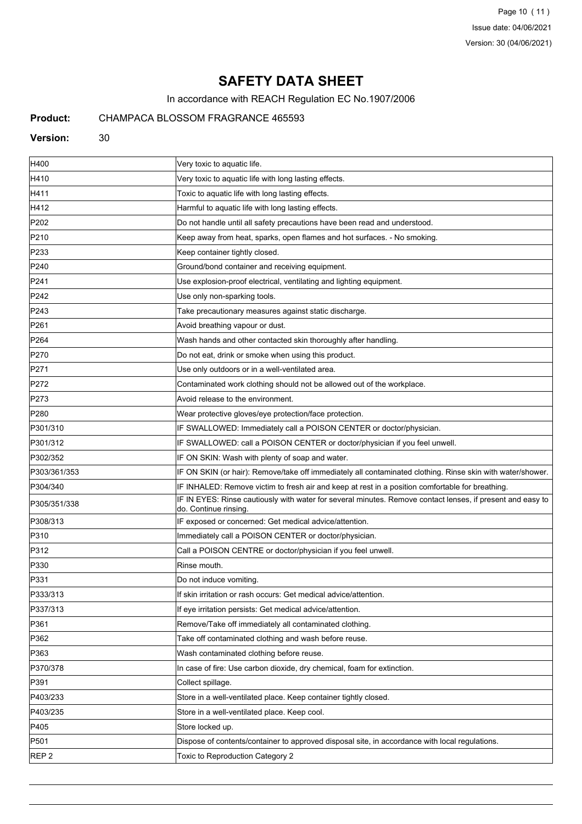Page 10 (11) Issue date: 04/06/2021 Version: 30 (04/06/2021)

# **SAFETY DATA SHEET**

In accordance with REACH Regulation EC No.1907/2006

## **Product:** CHAMPACA BLOSSOM FRAGRANCE 465593

#### **Version:** 30

| H400             | Very toxic to aquatic life.                                                                                                        |
|------------------|------------------------------------------------------------------------------------------------------------------------------------|
| H410             | Very toxic to aquatic life with long lasting effects.                                                                              |
| H411             | Toxic to aquatic life with long lasting effects.                                                                                   |
| H412             | Harmful to aquatic life with long lasting effects.                                                                                 |
| P202             | Do not handle until all safety precautions have been read and understood.                                                          |
| P210             | Keep away from heat, sparks, open flames and hot surfaces. - No smoking.                                                           |
| P233             | Keep container tightly closed.                                                                                                     |
| P240             | Ground/bond container and receiving equipment.                                                                                     |
| P241             | Use explosion-proof electrical, ventilating and lighting equipment.                                                                |
| P242             | Use only non-sparking tools.                                                                                                       |
| P243             | Take precautionary measures against static discharge.                                                                              |
| P261             | Avoid breathing vapour or dust.                                                                                                    |
| P <sub>264</sub> | Wash hands and other contacted skin thoroughly after handling.                                                                     |
| P270             | Do not eat, drink or smoke when using this product.                                                                                |
| P271             | Use only outdoors or in a well-ventilated area.                                                                                    |
| P272             | Contaminated work clothing should not be allowed out of the workplace.                                                             |
| P273             | Avoid release to the environment.                                                                                                  |
| P280             | Wear protective gloves/eye protection/face protection.                                                                             |
| P301/310         | IF SWALLOWED: Immediately call a POISON CENTER or doctor/physician.                                                                |
| P301/312         | IF SWALLOWED: call a POISON CENTER or doctor/physician if you feel unwell.                                                         |
| P302/352         | IF ON SKIN: Wash with plenty of soap and water.                                                                                    |
| P303/361/353     | IF ON SKIN (or hair): Remove/take off immediately all contaminated clothing. Rinse skin with water/shower.                         |
| P304/340         | IF INHALED: Remove victim to fresh air and keep at rest in a position comfortable for breathing.                                   |
| P305/351/338     | IF IN EYES: Rinse cautiously with water for several minutes. Remove contact lenses, if present and easy to<br>do. Continue rinsing |
| P308/313         | IF exposed or concerned: Get medical advice/attention.                                                                             |
| P310             | Immediately call a POISON CENTER or doctor/physician.                                                                              |
| P312             | Call a POISON CENTRE or doctor/physician if you feel unwell.                                                                       |
| P330             | Rinse mouth.                                                                                                                       |
| P331             | Do not induce vomiting.                                                                                                            |
| P333/313         | If skin irritation or rash occurs: Get medical advice/attention.                                                                   |
| P337/313         | If eye irritation persists: Get medical advice/attention.                                                                          |
| P361             | Remove/Take off immediately all contaminated clothing.                                                                             |
| P362             | Take off contaminated clothing and wash before reuse.                                                                              |
| P363             | Wash contaminated clothing before reuse.                                                                                           |
| P370/378         | In case of fire: Use carbon dioxide, dry chemical, foam for extinction.                                                            |
| P391             | Collect spillage.                                                                                                                  |
| P403/233         | Store in a well-ventilated place. Keep container tightly closed.                                                                   |
| P403/235         | Store in a well-ventilated place. Keep cool.                                                                                       |
| P405             | Store locked up.                                                                                                                   |
| P501             | Dispose of contents/container to approved disposal site, in accordance with local regulations.                                     |
| REP <sub>2</sub> | Toxic to Reproduction Category 2                                                                                                   |